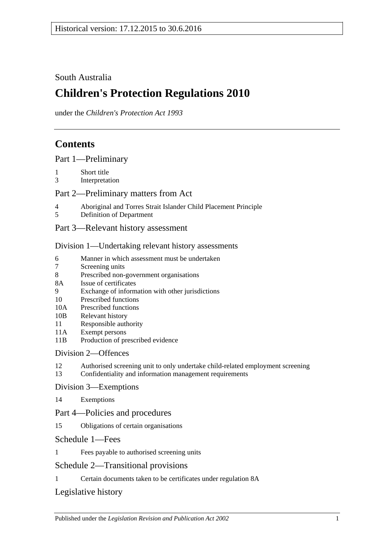# South Australia

# **Children's Protection Regulations 2010**

under the *Children's Protection Act 1993*

# **Contents**

[Part 1—Preliminary](#page-1-0)

- 1 [Short title](#page-1-1)
- 3 [Interpretation](#page-1-2)

### [Part 2—Preliminary matters from Act](#page-2-0)

- 4 [Aboriginal and Torres Strait Islander Child Placement Principle](#page-2-1)
- 5 [Definition of Department](#page-2-2)
- [Part 3—Relevant history assessment](#page-3-0)

#### [Division 1—Undertaking relevant history assessments](#page-3-1)

- 6 [Manner in which assessment must be undertaken](#page-3-2)<br>7 Screening units
- [Screening units](#page-3-3)
- 8 [Prescribed non-government organisations](#page-4-0)
- 8A [Issue of certificates](#page-4-1)
- 9 [Exchange of information with other jurisdictions](#page-5-0)
- 10 [Prescribed functions](#page-5-1)
- 10A [Prescribed functions](#page-5-2)
- 10B [Relevant history](#page-6-0)
- 11 [Responsible authority](#page-6-1)
- 11A [Exempt persons](#page-6-2)
- 11B [Production of prescribed evidence](#page-7-0)

# [Division 2—Offences](#page-7-1)

- 12 [Authorised screening unit to only undertake child-related employment screening](#page-7-2)
- 13 [Confidentiality and information management requirements](#page-8-0)

#### [Division 3—Exemptions](#page-8-1)

14 [Exemptions](#page-8-2)

#### Part [4—Policies and procedures](#page-9-0)

15 [Obligations of certain organisations](#page-9-1)

#### [Schedule 1—Fees](#page-10-0)

1 [Fees payable to authorised screening units](#page-10-1)

# [Schedule 2—Transitional provisions](#page-10-2)

1 [Certain documents taken to be certificates under regulation](#page-10-3) 8A

# [Legislative history](#page-11-0)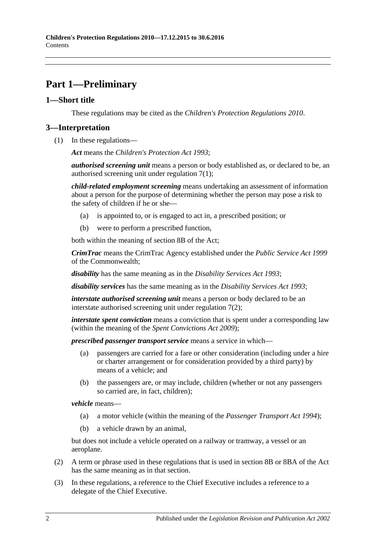# <span id="page-1-0"></span>**Part 1—Preliminary**

### <span id="page-1-1"></span>**1—Short title**

These regulations may be cited as the *Children's Protection Regulations 2010*.

### <span id="page-1-2"></span>**3—Interpretation**

(1) In these regulations—

*Act* means the *[Children's Protection Act](http://www.legislation.sa.gov.au/index.aspx?action=legref&type=act&legtitle=Childrens%20Protection%20Act%201993) 1993*;

*authorised screening unit* means a person or body established as, or declared to be, an authorised screening unit under [regulation](#page-3-4) 7(1);

*child-related employment screening* means undertaking an assessment of information about a person for the purpose of determining whether the person may pose a risk to the safety of children if he or she—

- (a) is appointed to, or is engaged to act in, a prescribed position; or
- (b) were to perform a prescribed function,

both within the meaning of section 8B of the Act;

*CrimTrac* means the CrimTrac Agency established under the *Public Service Act 1999* of the Commonwealth;

*disability* has the same meaning as in the *[Disability Services Act](http://www.legislation.sa.gov.au/index.aspx?action=legref&type=act&legtitle=Disability%20Services%20Act%201993) 1993*;

*disability services* has the same meaning as in the *[Disability Services Act](http://www.legislation.sa.gov.au/index.aspx?action=legref&type=act&legtitle=Disability%20Services%20Act%201993) 1993*;

*interstate authorised screening unit* means a person or body declared to be an interstate authorised screening unit under [regulation](#page-4-2) 7(2);

*interstate spent conviction* means a conviction that is spent under a corresponding law (within the meaning of the *[Spent Convictions Act](http://www.legislation.sa.gov.au/index.aspx?action=legref&type=act&legtitle=Spent%20Convictions%20Act%202009) 2009*);

*prescribed passenger transport service* means a service in which—

- (a) passengers are carried for a fare or other consideration (including under a hire or charter arrangement or for consideration provided by a third party) by means of a vehicle; and
- (b) the passengers are, or may include, children (whether or not any passengers so carried are, in fact, children);

*vehicle* means—

- (a) a motor vehicle (within the meaning of the *[Passenger Transport Act](http://www.legislation.sa.gov.au/index.aspx?action=legref&type=act&legtitle=Passenger%20Transport%20Act%201994) 1994*);
- (b) a vehicle drawn by an animal,

but does not include a vehicle operated on a railway or tramway, a vessel or an aeroplane.

- (2) A term or phrase used in these regulations that is used in section 8B or 8BA of the Act has the same meaning as in that section.
- (3) In these regulations, a reference to the Chief Executive includes a reference to a delegate of the Chief Executive.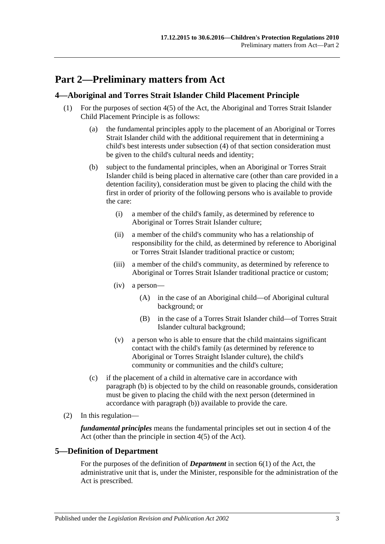# <span id="page-2-0"></span>**Part 2—Preliminary matters from Act**

### <span id="page-2-1"></span>**4—Aboriginal and Torres Strait Islander Child Placement Principle**

- <span id="page-2-3"></span>(1) For the purposes of section 4(5) of the Act, the Aboriginal and Torres Strait Islander Child Placement Principle is as follows:
	- (a) the fundamental principles apply to the placement of an Aboriginal or Torres Strait Islander child with the additional requirement that in determining a child's best interests under subsection (4) of that section consideration must be given to the child's cultural needs and identity;
	- (b) subject to the fundamental principles, when an Aboriginal or Torres Strait Islander child is being placed in alternative care (other than care provided in a detention facility), consideration must be given to placing the child with the first in order of priority of the following persons who is available to provide the care:
		- (i) a member of the child's family, as determined by reference to Aboriginal or Torres Strait Islander culture;
		- (ii) a member of the child's community who has a relationship of responsibility for the child, as determined by reference to Aboriginal or Torres Strait Islander traditional practice or custom;
		- (iii) a member of the child's community, as determined by reference to Aboriginal or Torres Strait Islander traditional practice or custom;
		- (iv) a person—
			- (A) in the case of an Aboriginal child—of Aboriginal cultural background; or
			- (B) in the case of a Torres Strait Islander child—of Torres Strait Islander cultural background;
		- (v) a person who is able to ensure that the child maintains significant contact with the child's family (as determined by reference to Aboriginal or Torres Straight Islander culture), the child's community or communities and the child's culture;
	- (c) if the placement of a child in alternative care in accordance with [paragraph](#page-2-3) (b) is objected to by the child on reasonable grounds, consideration must be given to placing the child with the next person (determined in accordance with [paragraph](#page-2-3) (b)) available to provide the care.
- (2) In this regulation—

*fundamental principles* means the fundamental principles set out in section 4 of the Act (other than the principle in section 4(5) of the Act).

# <span id="page-2-2"></span>**5—Definition of Department**

For the purposes of the definition of *Department* in section 6(1) of the Act, the administrative unit that is, under the Minister, responsible for the administration of the Act is prescribed.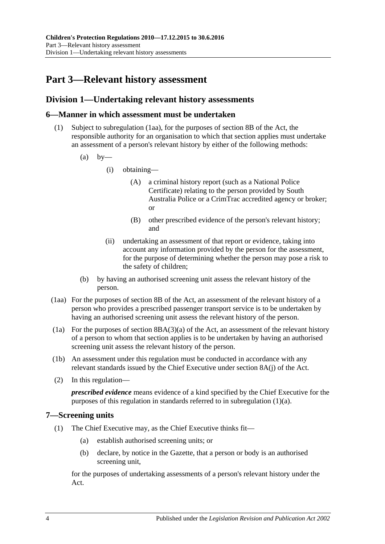# <span id="page-3-0"></span>**Part 3—Relevant history assessment**

### <span id="page-3-1"></span>**Division 1—Undertaking relevant history assessments**

#### <span id="page-3-2"></span>**6—Manner in which assessment must be undertaken**

- <span id="page-3-6"></span>(1) Subject to [subregulation](#page-3-5) (1aa), for the purposes of section 8B of the Act, the responsible authority for an organisation to which that section applies must undertake an assessment of a person's relevant history by either of the following methods:
	- $(a)$  by—
		- (i) obtaining—
			- (A) a criminal history report (such as a National Police Certificate) relating to the person provided by South Australia Police or a CrimTrac accredited agency or broker; or
			- (B) other prescribed evidence of the person's relevant history; and
		- (ii) undertaking an assessment of that report or evidence, taking into account any information provided by the person for the assessment, for the purpose of determining whether the person may pose a risk to the safety of children;
	- (b) by having an authorised screening unit assess the relevant history of the person.
- <span id="page-3-5"></span>(1aa) For the purposes of section 8B of the Act, an assessment of the relevant history of a person who provides a prescribed passenger transport service is to be undertaken by having an authorised screening unit assess the relevant history of the person.
- (1a) For the purposes of section  $8B(A(3)(a)$  of the Act, an assessment of the relevant history of a person to whom that section applies is to be undertaken by having an authorised screening unit assess the relevant history of the person.
- (1b) An assessment under this regulation must be conducted in accordance with any relevant standards issued by the Chief Executive under section 8A(j) of the Act.
- (2) In this regulation—

*prescribed evidence* means evidence of a kind specified by the Chief Executive for the purposes of this regulation in standards referred to in [subregulation](#page-3-6) (1)(a).

#### <span id="page-3-4"></span><span id="page-3-3"></span>**7—Screening units**

- <span id="page-3-7"></span>(1) The Chief Executive may, as the Chief Executive thinks fit—
	- (a) establish authorised screening units; or
	- (b) declare, by notice in the Gazette, that a person or body is an authorised screening unit,

for the purposes of undertaking assessments of a person's relevant history under the Act.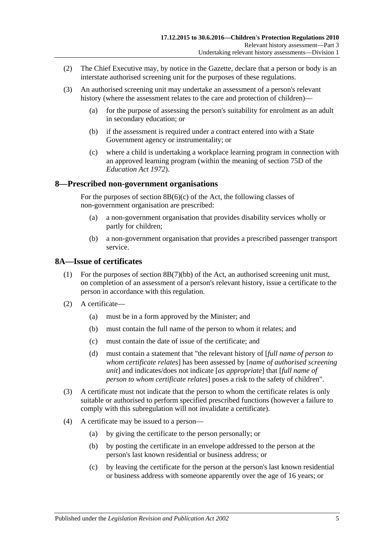- <span id="page-4-2"></span>(2) The Chief Executive may, by notice in the Gazette, declare that a person or body is an interstate authorised screening unit for the purposes of these regulations.
- <span id="page-4-3"></span>(3) An authorised screening unit may undertake an assessment of a person's relevant history (where the assessment relates to the care and protection of children)—
	- (a) for the purpose of assessing the person's suitability for enrolment as an adult in secondary education; or
	- (b) if the assessment is required under a contract entered into with a State Government agency or instrumentality; or
	- (c) where a child is undertaking a workplace learning program in connection with an approved learning program (within the meaning of section 75D of the *[Education Act](http://www.legislation.sa.gov.au/index.aspx?action=legref&type=act&legtitle=Education%20Act%201972) 1972*).

#### <span id="page-4-0"></span>**8—Prescribed non-government organisations**

For the purposes of section  $8B(6)(c)$  of the Act, the following classes of non-government organisation are prescribed:

- (a) a non-government organisation that provides disability services wholly or partly for children;
- (b) a non-government organisation that provides a prescribed passenger transport service.

#### <span id="page-4-1"></span>**8A—Issue of certificates**

- (1) For the purposes of section 8B(7)(bb) of the Act, an authorised screening unit must, on completion of an assessment of a person's relevant history, issue a certificate to the person in accordance with this regulation.
- (2) A certificate—
	- (a) must be in a form approved by the Minister; and
	- (b) must contain the full name of the person to whom it relates; and
	- (c) must contain the date of issue of the certificate; and
	- (d) must contain a statement that "the relevant history of [*full name of person to whom certificate relates*] has been assessed by [*name of authorised screening unit*] and indicates/does not indicate [*as appropriate*] that [*full name of person to whom certificate relates*] poses a risk to the safety of children".
- (3) A certificate must not indicate that the person to whom the certificate relates is only suitable or authorised to perform specified prescribed functions (however a failure to comply with this subregulation will not invalidate a certificate).
- (4) A certificate may be issued to a person—
	- (a) by giving the certificate to the person personally; or
	- (b) by posting the certificate in an envelope addressed to the person at the person's last known residential or business address; or
	- (c) by leaving the certificate for the person at the person's last known residential or business address with someone apparently over the age of 16 years; or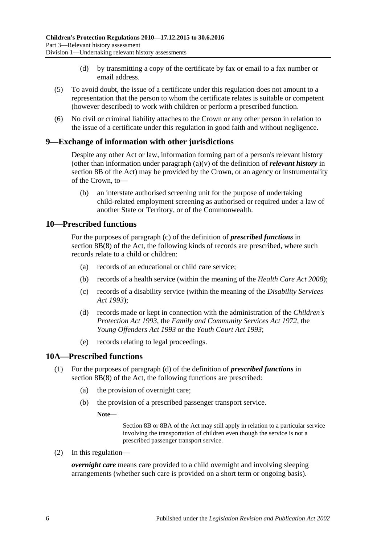- (d) by transmitting a copy of the certificate by fax or email to a fax number or email address.
- (5) To avoid doubt, the issue of a certificate under this regulation does not amount to a representation that the person to whom the certificate relates is suitable or competent (however described) to work with children or perform a prescribed function.
- (6) No civil or criminal liability attaches to the Crown or any other person in relation to the issue of a certificate under this regulation in good faith and without negligence.

#### <span id="page-5-0"></span>**9—Exchange of information with other jurisdictions**

Despite any other Act or law, information forming part of a person's relevant history (other than information under paragraph (a)(v) of the definition of *relevant history* in section 8B of the Act) may be provided by the Crown, or an agency or instrumentality of the Crown, to—

(b) an interstate authorised screening unit for the purpose of undertaking child-related employment screening as authorised or required under a law of another State or Territory, or of the Commonwealth.

#### <span id="page-5-1"></span>**10—Prescribed functions**

For the purposes of paragraph (c) of the definition of *prescribed functions* in section 8B(8) of the Act, the following kinds of records are prescribed, where such records relate to a child or children:

- (a) records of an educational or child care service;
- (b) records of a health service (within the meaning of the *[Health Care Act](http://www.legislation.sa.gov.au/index.aspx?action=legref&type=act&legtitle=Health%20Care%20Act%202008) 2008*);
- (c) records of a disability service (within the meaning of the *[Disability Services](http://www.legislation.sa.gov.au/index.aspx?action=legref&type=act&legtitle=Disability%20Services%20Act%201993)  Act [1993](http://www.legislation.sa.gov.au/index.aspx?action=legref&type=act&legtitle=Disability%20Services%20Act%201993)*);
- (d) records made or kept in connection with the administration of the *[Children's](http://www.legislation.sa.gov.au/index.aspx?action=legref&type=act&legtitle=Childrens%20Protection%20Act%201993)  [Protection Act](http://www.legislation.sa.gov.au/index.aspx?action=legref&type=act&legtitle=Childrens%20Protection%20Act%201993) 1993*, the *[Family and Community Services Act](http://www.legislation.sa.gov.au/index.aspx?action=legref&type=act&legtitle=Family%20and%20Community%20Services%20Act%201972) 1972*, the *[Young Offenders Act](http://www.legislation.sa.gov.au/index.aspx?action=legref&type=act&legtitle=Young%20Offenders%20Act%201993) 1993* or the *[Youth Court Act](http://www.legislation.sa.gov.au/index.aspx?action=legref&type=act&legtitle=Youth%20Court%20Act%201993) 1993*;
- (e) records relating to legal proceedings.

#### <span id="page-5-2"></span>**10A—Prescribed functions**

- (1) For the purposes of paragraph (d) of the definition of *prescribed functions* in section 8B(8) of the Act, the following functions are prescribed:
	- (a) the provision of overnight care;
	- (b) the provision of a prescribed passenger transport service.

#### **Note—**

Section 8B or 8BA of the Act may still apply in relation to a particular service involving the transportation of children even though the service is not a prescribed passenger transport service.

(2) In this regulation—

*overnight care* means care provided to a child overnight and involving sleeping arrangements (whether such care is provided on a short term or ongoing basis).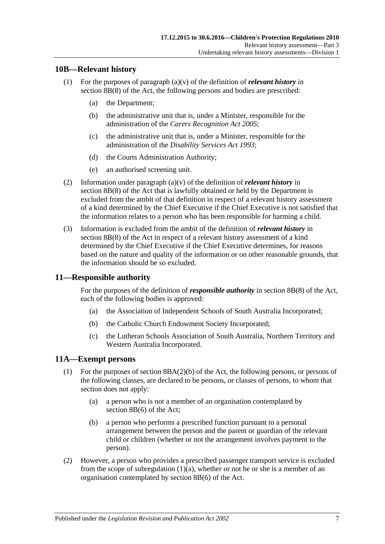#### <span id="page-6-0"></span>**10B—Relevant history**

- (1) For the purposes of paragraph (a)(v) of the definition of *relevant history* in section 8B(8) of the Act, the following persons and bodies are prescribed:
	- (a) the Department;
	- (b) the administrative unit that is, under a Minister, responsible for the administration of the *[Carers Recognition Act](http://www.legislation.sa.gov.au/index.aspx?action=legref&type=act&legtitle=Carers%20Recognition%20Act%202005) 2005*;
	- (c) the administrative unit that is, under a Minister, responsible for the administration of the *[Disability Services Act](http://www.legislation.sa.gov.au/index.aspx?action=legref&type=act&legtitle=Disability%20Services%20Act%201993) 1993*;
	- (d) the Courts Administration Authority;
	- (e) an authorised screening unit.
- (2) Information under paragraph (a)(v) of the definition of *relevant history* in section 8B(8) of the Act that is lawfully obtained or held by the Department is excluded from the ambit of that definition in respect of a relevant history assessment of a kind determined by the Chief Executive if the Chief Executive is not satisfied that the information relates to a person who has been responsible for harming a child.
- (3) Information is excluded from the ambit of the definition of *relevant history* in section 8B(8) of the Act in respect of a relevant history assessment of a kind determined by the Chief Executive if the Chief Executive determines, for reasons based on the nature and quality of the information or on other reasonable grounds, that the information should be so excluded.

#### <span id="page-6-1"></span>**11—Responsible authority**

For the purposes of the definition of *responsible authority* in section 8B(8) of the Act, each of the following bodies is approved:

- (a) the Association of Independent Schools of South Australia Incorporated;
- (b) the Catholic Church Endowment Society Incorporated;
- (c) the Lutheran Schools Association of South Australia, Northern Territory and Western Australia Incorporated.

#### <span id="page-6-2"></span>**11A—Exempt persons**

- <span id="page-6-3"></span>(1) For the purposes of section 8BA(2)(b) of the Act, the following persons, or persons of the following classes, are declared to be persons, or classes of persons, to whom that section does not apply:
	- (a) a person who is not a member of an organisation contemplated by section 8B(6) of the Act;
	- (b) a person who performs a prescribed function pursuant to a personal arrangement between the person and the parent or guardian of the relevant child or children (whether or not the arrangement involves payment to the person).
- (2) However, a person who provides a prescribed passenger transport service is excluded from the scope of [subregulation](#page-6-3)  $(1)(a)$ , whether or not he or she is a member of an organisation contemplated by section 8B(6) of the Act.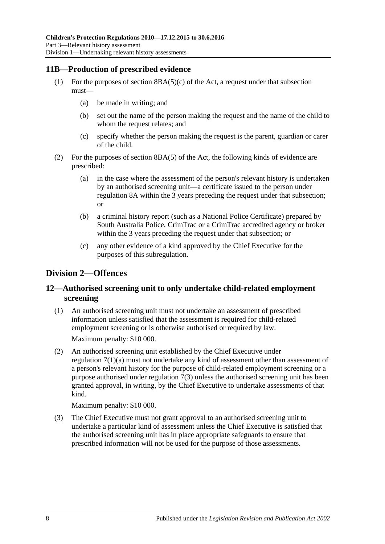### <span id="page-7-0"></span>**11B—Production of prescribed evidence**

- (1) For the purposes of section  $8BA(5)(c)$  of the Act, a request under that subsection must—
	- (a) be made in writing; and
	- (b) set out the name of the person making the request and the name of the child to whom the request relates; and
	- (c) specify whether the person making the request is the parent, guardian or carer of the child.
- (2) For the purposes of section 8BA(5) of the Act, the following kinds of evidence are prescribed:
	- (a) in the case where the assessment of the person's relevant history is undertaken by an authorised screening unit—a certificate issued to the person under [regulation](#page-4-1) 8A within the 3 years preceding the request under that subsection; or
	- (b) a criminal history report (such as a National Police Certificate) prepared by South Australia Police, CrimTrac or a CrimTrac accredited agency or broker within the 3 years preceding the request under that subsection; or
	- (c) any other evidence of a kind approved by the Chief Executive for the purposes of this subregulation.

# <span id="page-7-1"></span>**Division 2—Offences**

### <span id="page-7-2"></span>**12—Authorised screening unit to only undertake child-related employment screening**

(1) An authorised screening unit must not undertake an assessment of prescribed information unless satisfied that the assessment is required for child-related employment screening or is otherwise authorised or required by law.

Maximum penalty: \$10 000.

(2) An authorised screening unit established by the Chief Executive under [regulation](#page-3-7) 7(1)(a) must not undertake any kind of assessment other than assessment of a person's relevant history for the purpose of child-related employment screening or a purpose authorised under [regulation](#page-4-3) 7(3) unless the authorised screening unit has been granted approval, in writing, by the Chief Executive to undertake assessments of that kind.

Maximum penalty: \$10 000.

(3) The Chief Executive must not grant approval to an authorised screening unit to undertake a particular kind of assessment unless the Chief Executive is satisfied that the authorised screening unit has in place appropriate safeguards to ensure that prescribed information will not be used for the purpose of those assessments.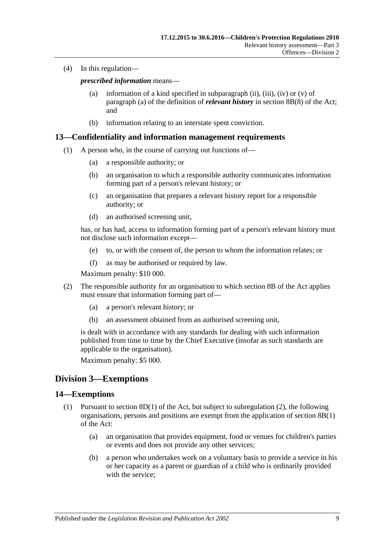(4) In this regulation—

*prescribed information* means—

- (a) information of a kind specified in subparagraph (ii), (iii), (iv) or (v) of paragraph (a) of the definition of *relevant history* in section 8B(8) of the Act; and
- (b) information relating to an interstate spent conviction.

#### <span id="page-8-0"></span>**13—Confidentiality and information management requirements**

- (1) A person who, in the course of carrying out functions of—
	- (a) a responsible authority; or
	- (b) an organisation to which a responsible authority communicates information forming part of a person's relevant history; or
	- (c) an organisation that prepares a relevant history report for a responsible authority; or
	- (d) an authorised screening unit,

has, or has had, access to information forming part of a person's relevant history must not disclose such information except—

- (e) to, or with the consent of, the person to whom the information relates; or
- (f) as may be authorised or required by law.

Maximum penalty: \$10 000.

- (2) The responsible authority for an organisation to which section 8B of the Act applies must ensure that information forming part of—
	- (a) a person's relevant history; or
	- (b) an assessment obtained from an authorised screening unit,

is dealt with in accordance with any standards for dealing with such information published from time to time by the Chief Executive (insofar as such standards are applicable to the organisation).

Maximum penalty: \$5 000.

# <span id="page-8-1"></span>**Division 3—Exemptions**

#### <span id="page-8-3"></span><span id="page-8-2"></span>**14—Exemptions**

- (1) Pursuant to section  $8D(1)$  of the Act, but subject to [subregulation](#page-9-2) (2), the following organisations, persons and positions are exempt from the application of section 8B(1) of the Act:
	- (a) an organisation that provides equipment, food or venues for children's parties or events and does not provide any other services;
	- (b) a person who undertakes work on a voluntary basis to provide a service in his or her capacity as a parent or guardian of a child who is ordinarily provided with the service;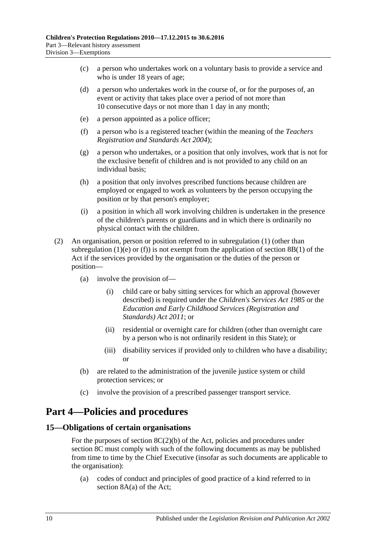- (c) a person who undertakes work on a voluntary basis to provide a service and who is under 18 years of age;
- (d) a person who undertakes work in the course of, or for the purposes of, an event or activity that takes place over a period of not more than 10 consecutive days or not more than 1 day in any month;
- <span id="page-9-3"></span>(e) a person appointed as a police officer;
- <span id="page-9-4"></span>(f) a person who is a registered teacher (within the meaning of the *[Teachers](http://www.legislation.sa.gov.au/index.aspx?action=legref&type=act&legtitle=Teachers%20Registration%20and%20Standards%20Act%202004)  [Registration and Standards Act](http://www.legislation.sa.gov.au/index.aspx?action=legref&type=act&legtitle=Teachers%20Registration%20and%20Standards%20Act%202004) 2004*);
- (g) a person who undertakes, or a position that only involves, work that is not for the exclusive benefit of children and is not provided to any child on an individual basis;
- (h) a position that only involves prescribed functions because children are employed or engaged to work as volunteers by the person occupying the position or by that person's employer;
- (i) a position in which all work involving children is undertaken in the presence of the children's parents or guardians and in which there is ordinarily no physical contact with the children.
- <span id="page-9-2"></span>(2) An organisation, person or position referred to in [subregulation](#page-8-3) (1) (other than [subregulation](#page-9-3) (1)(e) or [\(f\)\)](#page-9-4) is not exempt from the application of section  $8B(1)$  of the Act if the services provided by the organisation or the duties of the person or position—
	- (a) involve the provision of—
		- (i) child care or baby sitting services for which an approval (however described) is required under the *[Children's Services Act](http://www.legislation.sa.gov.au/index.aspx?action=legref&type=act&legtitle=Childrens%20Services%20Act%201985) 1985* or the *[Education and Early Childhood Services \(Registration and](http://www.legislation.sa.gov.au/index.aspx?action=legref&type=act&legtitle=Education%20and%20Early%20Childhood%20Services%20(Registration%20and%20Standards)%20Act%202011)  [Standards\) Act](http://www.legislation.sa.gov.au/index.aspx?action=legref&type=act&legtitle=Education%20and%20Early%20Childhood%20Services%20(Registration%20and%20Standards)%20Act%202011) 2011*; or
		- (ii) residential or overnight care for children (other than overnight care by a person who is not ordinarily resident in this State); or
		- (iii) disability services if provided only to children who have a disability; or
	- (b) are related to the administration of the juvenile justice system or child protection services; or
	- (c) involve the provision of a prescribed passenger transport service.

# <span id="page-9-0"></span>**Part 4—Policies and procedures**

#### <span id="page-9-1"></span>**15—Obligations of certain organisations**

For the purposes of section  $8C(2)(b)$  of the Act, policies and procedures under section 8C must comply with such of the following documents as may be published from time to time by the Chief Executive (insofar as such documents are applicable to the organisation):

(a) codes of conduct and principles of good practice of a kind referred to in section 8A(a) of the Act;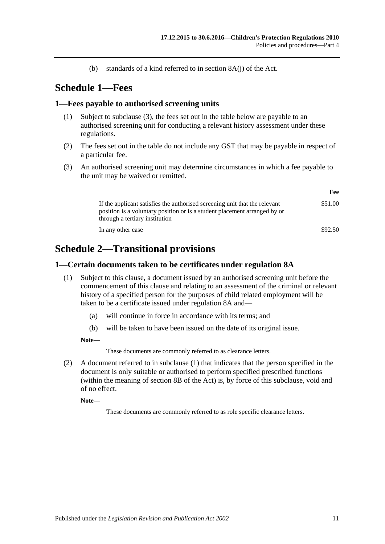(b) standards of a kind referred to in section 8A(j) of the Act.

# <span id="page-10-0"></span>**Schedule 1—Fees**

#### <span id="page-10-1"></span>**1—Fees payable to authorised screening units**

- (1) Subject to [subclause](#page-10-4) (3), the fees set out in the table below are payable to an authorised screening unit for conducting a relevant history assessment under these regulations.
- (2) The fees set out in the table do not include any GST that may be payable in respect of a particular fee.
- <span id="page-10-4"></span>(3) An authorised screening unit may determine circumstances in which a fee payable to the unit may be waived or remitted.

|                                                                                                                                                                                           | Fee     |
|-------------------------------------------------------------------------------------------------------------------------------------------------------------------------------------------|---------|
| If the applicant satisfies the authorised screening unit that the relevant<br>position is a voluntary position or is a student placement arranged by or<br>through a tertiary institution | \$51.00 |
| In any other case                                                                                                                                                                         | \$92.50 |

# <span id="page-10-2"></span>**Schedule 2—Transitional provisions**

#### <span id="page-10-5"></span><span id="page-10-3"></span>**1—Certain documents taken to be certificates under regulation 8A**

- (1) Subject to this clause, a document issued by an authorised screening unit before the commencement of this clause and relating to an assessment of the criminal or relevant history of a specified person for the purposes of child related employment will be taken to be a certificate issued under [regulation](#page-4-1) 8A and—
	- (a) will continue in force in accordance with its terms; and
	- (b) will be taken to have been issued on the date of its original issue.

**Note—**

These documents are commonly referred to as clearance letters.

(2) A document referred to in [subclause](#page-10-5) (1) that indicates that the person specified in the document is only suitable or authorised to perform specified prescribed functions (within the meaning of section 8B of the Act) is, by force of this subclause, void and of no effect.

**Note—**

These documents are commonly referred to as role specific clearance letters.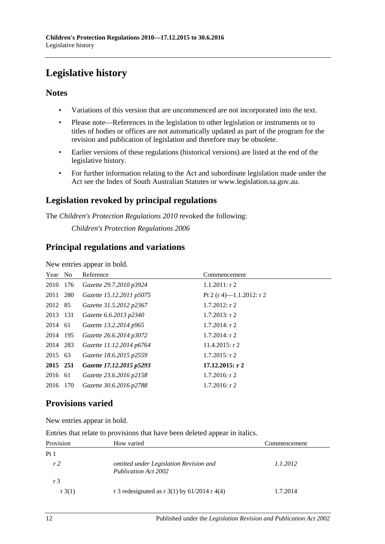# <span id="page-11-0"></span>**Legislative history**

# **Notes**

- Variations of this version that are uncommenced are not incorporated into the text.
- Please note—References in the legislation to other legislation or instruments or to titles of bodies or offices are not automatically updated as part of the program for the revision and publication of legislation and therefore may be obsolete.
- Earlier versions of these regulations (historical versions) are listed at the end of the legislative history.
- For further information relating to the Act and subordinate legislation made under the Act see the Index of South Australian Statutes or www.legislation.sa.gov.au.

# **Legislation revoked by principal regulations**

The *Children's Protection Regulations 2010* revoked the following:

*Children's Protection Regulations 2006*

# **Principal regulations and variations**

New entries appear in bold.

| Year No  |     | Reference                | Commencement             |
|----------|-----|--------------------------|--------------------------|
| 2010     | 176 | Gazette 29.7.2010 p3924  | $1.1.2011:$ r 2          |
| 2011 280 |     | Gazette 15.12.2011 p5075 | Pt 2 (r 4)-1.1.2012: r 2 |
| 2012 85  |     | Gazette 31.5.2012 p2367  | $1.7.2012$ : r 2         |
| 2013 131 |     | Gazette 6.6.2013 p2340   | $1.7.2013$ : r 2         |
| 2014 61  |     | Gazette 13.2.2014 p965   | $1.7.2014$ : r 2         |
| 2014 195 |     | Gazette 26.6.2014 p3072  | $1.7.2014$ : r 2         |
| 2014 283 |     | Gazette 11.12.2014 p6764 | $11.4.2015$ : r 2        |
| 2015 63  |     | Gazette 18.6.2015 p2559  | $1.7.2015$ : r 2         |
| 2015 251 |     | Gazette 17.12.2015 p5293 | $17.12.2015:$ r 2        |
| 2016 61  |     | Gazette 23.6.2016 p2158  | $1.7.2016$ : r 2         |
| 2016 170 |     | Gazette 30.6.2016 p2788  | $1.7.2016$ : r 2         |

# **Provisions varied**

New entries appear in bold.

|  |  | Entries that relate to provisions that have been deleted appear in italics. |
|--|--|-----------------------------------------------------------------------------|
|--|--|-----------------------------------------------------------------------------|

| Provision       | How varied                                                            | Commencement |
|-----------------|-----------------------------------------------------------------------|--------------|
| Pt <sub>1</sub> |                                                                       |              |
| r <sub>2</sub>  | omitted under Legislation Revision and<br><b>Publication Act 2002</b> | 1.1.2012     |
| r <sub>3</sub>  |                                                                       |              |
| r(3(1))         | r 3 redesignated as r 3(1) by $61/2014$ r 4(4)                        | 1.7.2014     |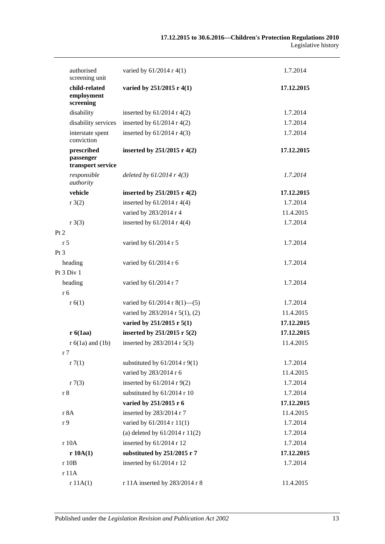| authorised<br>screening unit                 | varied by 61/2014 r 4(1)           | 1.7.2014   |
|----------------------------------------------|------------------------------------|------------|
| child-related<br>employment<br>screening     | varied by 251/2015 r 4(1)          | 17.12.2015 |
| disability                                   | inserted by $61/2014$ r 4(2)       | 1.7.2014   |
| disability services                          | inserted by $61/2014$ r 4(2)       | 1.7.2014   |
| interstate spent<br>conviction               | inserted by $61/2014$ r 4(3)       | 1.7.2014   |
| prescribed<br>passenger<br>transport service | inserted by $251/2015$ r 4(2)      | 17.12.2015 |
| responsible<br>authority                     | deleted by $61/2014$ r $4(3)$      | 1.7.2014   |
| vehicle                                      | inserted by 251/2015 r 4(2)        | 17.12.2015 |
| r3(2)                                        | inserted by $61/2014$ r 4(4)       | 1.7.2014   |
|                                              | varied by 283/2014 r 4             | 11.4.2015  |
| r3(3)                                        | inserted by $61/2014$ r 4(4)       | 1.7.2014   |
| Pt 2                                         |                                    |            |
| r 5                                          | varied by 61/2014 r 5              | 1.7.2014   |
| Pt 3                                         |                                    |            |
| heading                                      | varied by 61/2014 r 6              | 1.7.2014   |
| Pt $3$ Div $1$                               |                                    |            |
| heading                                      | varied by 61/2014 r 7              | 1.7.2014   |
| r 6                                          |                                    |            |
| r(6(1))                                      | varied by $61/2014$ r $8(1)$ —(5)  | 1.7.2014   |
|                                              | varied by 283/2014 r 5(1), (2)     | 11.4.2015  |
|                                              | varied by $251/2015$ r $5(1)$      | 17.12.2015 |
| r6(1aa)                                      | inserted by 251/2015 r 5(2)        | 17.12.2015 |
| $r 6(1a)$ and $(1b)$                         | inserted by 283/2014 r 5(3)        | 11.4.2015  |
| r <sub>7</sub>                               |                                    |            |
| r7(1)                                        | substituted by $61/2014$ r $9(1)$  | 1.7.2014   |
|                                              | varied by 283/2014 r 6             | 11.4.2015  |
| r7(3)                                        | inserted by 61/2014 r 9(2)         | 1.7.2014   |
| r 8                                          | substituted by 61/2014 r 10        | 1.7.2014   |
|                                              | varied by 251/2015 r 6             | 17.12.2015 |
| r 8A                                         | inserted by 283/2014 r 7           | 11.4.2015  |
| r 9                                          | varied by 61/2014 r 11(1)          | 1.7.2014   |
|                                              | (a) deleted by $61/2014$ r $11(2)$ | 1.7.2014   |
| r10A                                         | inserted by 61/2014 r 12           | 1.7.2014   |
| r 10A(1)                                     | substituted by 251/2015 r 7        | 17.12.2015 |
| r 10B                                        | inserted by $61/2014$ r 12         | 1.7.2014   |
| r 11A                                        |                                    |            |
| r11A(1)                                      | r 11A inserted by 283/2014 r 8     | 11.4.2015  |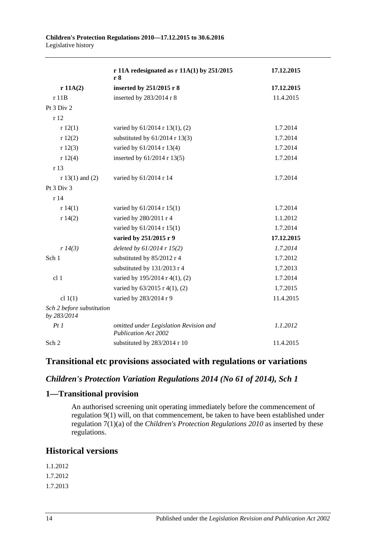|                                          | r 11A redesignated as $r 11A(1)$ by 251/2015<br>r 8            | 17.12.2015 |
|------------------------------------------|----------------------------------------------------------------|------------|
| r 11A(2)                                 | inserted by 251/2015 r 8                                       | 17.12.2015 |
| r 11B                                    | inserted by $283/2014$ r 8                                     | 11.4.2015  |
| Pt 3 Div 2                               |                                                                |            |
| r 12                                     |                                                                |            |
| r12(1)                                   | varied by 61/2014 r 13(1), (2)                                 | 1.7.2014   |
| r12(2)                                   | substituted by $61/2014$ r 13(3)                               | 1.7.2014   |
| r12(3)                                   | varied by 61/2014 r 13(4)                                      | 1.7.2014   |
| r12(4)                                   | inserted by 61/2014 r 13(5)                                    | 1.7.2014   |
| r 13                                     |                                                                |            |
| $r 13(1)$ and (2)                        | varied by 61/2014 r 14                                         | 1.7.2014   |
| Pt 3 Div 3                               |                                                                |            |
| r 14                                     |                                                                |            |
| r 14(1)                                  | varied by 61/2014 r 15(1)                                      | 1.7.2014   |
| r 14(2)                                  | varied by 280/2011 r 4                                         | 1.1.2012   |
|                                          | varied by 61/2014 r 15(1)                                      | 1.7.2014   |
|                                          | varied by 251/2015 r 9                                         | 17.12.2015 |
| r 14(3)                                  | deleted by $61/2014$ r $15(2)$                                 | 1.7.2014   |
| Sch 1                                    | substituted by 85/2012 r 4                                     | 1.7.2012   |
|                                          | substituted by 131/2013 r 4                                    | 1.7.2013   |
| cl 1                                     | varied by 195/2014 r 4(1), (2)                                 | 1.7.2014   |
|                                          | varied by 63/2015 r 4(1), (2)                                  | 1.7.2015   |
| cl $1(1)$                                | varied by 283/2014 r 9                                         | 11.4.2015  |
| Sch 2 before substitution<br>by 283/2014 |                                                                |            |
| Pt1                                      | omitted under Legislation Revision and<br>Publication Act 2002 | 1.1.2012   |
| Sch 2                                    | substituted by 283/2014 r 10                                   | 11.4.2015  |

### **Transitional etc provisions associated with regulations or variations**

#### *Children's Protection Variation Regulations 2014 (No 61 of 2014), Sch 1*

#### **1—Transitional provision**

An authorised screening unit operating immediately before the commencement of regulation 9(1) will, on that commencement, be taken to have been established under regulation 7(1)(a) of the *[Children's Protection Regulations](http://www.legislation.sa.gov.au/index.aspx?action=legref&type=subordleg&legtitle=Childrens%20Protection%20Regulations%202010) 2010* as inserted by these regulations.

# **Historical versions**

1.1.2012 1.7.2012 1.7.2013